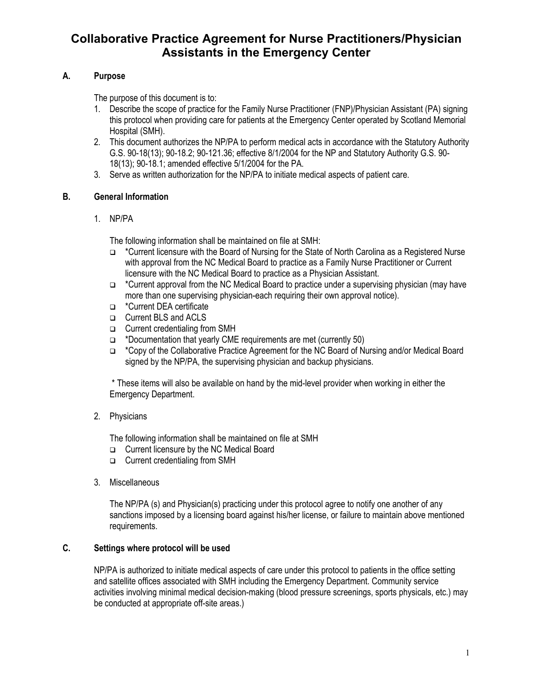# **Collaborative Practice Agreement for Nurse Practitioners/Physician Assistants in the Emergency Center**

# **A. Purpose**

The purpose of this document is to:

- 1. Describe the scope of practice for the Family Nurse Practitioner (FNP)/Physician Assistant (PA) signing this protocol when providing care for patients at the Emergency Center operated by Scotland Memorial Hospital (SMH).
- 2. This document authorizes the NP/PA to perform medical acts in accordance with the Statutory Authority G.S. 90-18(13); 90-18.2; 90-121.36; effective 8/1/2004 for the NP and Statutory Authority G.S. 90- 18(13); 90-18.1; amended effective 5/1/2004 for the PA.
- 3. Serve as written authorization for the NP/PA to initiate medical aspects of patient care.

## **B. General Information**

1. NP/PA

The following information shall be maintained on file at SMH:

- \*Current licensure with the Board of Nursing for the State of North Carolina as a Registered Nurse with approval from the NC Medical Board to practice as a Family Nurse Practitioner or Current licensure with the NC Medical Board to practice as a Physician Assistant.
- \*Current approval from the NC Medical Board to practice under a supervising physician (may have more than one supervising physician-each requiring their own approval notice).
- \*Current DEA certificate
- **Q** Current BLS and ACLS
- □ Current credentialing from SMH
- $\Box$  \*Documentation that yearly CME requirements are met (currently 50)
- \*Copy of the Collaborative Practice Agreement for the NC Board of Nursing and/or Medical Board signed by the NP/PA, the supervising physician and backup physicians.

\* These items will also be available on hand by the mid-level provider when working in either the Emergency Department.

2. Physicians

The following information shall be maintained on file at SMH

- □ Current licensure by the NC Medical Board
- □ Current credentialing from SMH
- 3. Miscellaneous

The NP/PA (s) and Physician(s) practicing under this protocol agree to notify one another of any sanctions imposed by a licensing board against his/her license, or failure to maintain above mentioned requirements.

## **C. Settings where protocol will be used**

NP/PA is authorized to initiate medical aspects of care under this protocol to patients in the office setting and satellite offices associated with SMH including the Emergency Department. Community service activities involving minimal medical decision-making (blood pressure screenings, sports physicals, etc.) may be conducted at appropriate off-site areas.)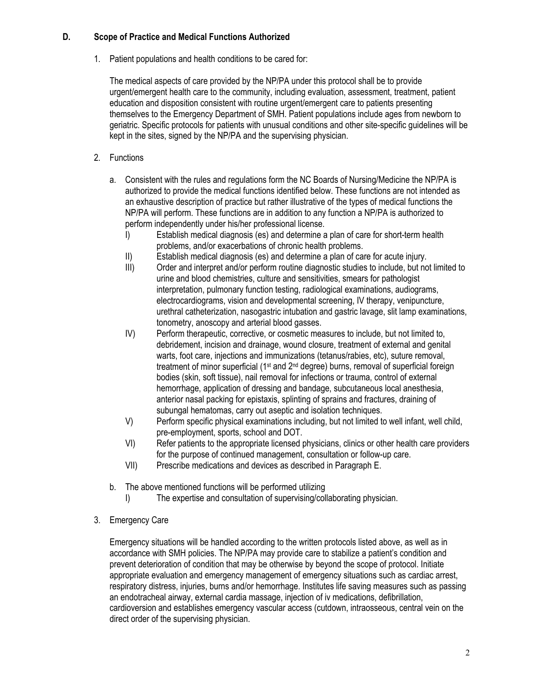### **D. Scope of Practice and Medical Functions Authorized**

1. Patient populations and health conditions to be cared for:

The medical aspects of care provided by the NP/PA under this protocol shall be to provide urgent/emergent health care to the community, including evaluation, assessment, treatment, patient education and disposition consistent with routine urgent/emergent care to patients presenting themselves to the Emergency Department of SMH. Patient populations include ages from newborn to geriatric. Specific protocols for patients with unusual conditions and other site-specific guidelines will be kept in the sites, signed by the NP/PA and the supervising physician.

- 2. Functions
	- a. Consistent with the rules and regulations form the NC Boards of Nursing/Medicine the NP/PA is authorized to provide the medical functions identified below. These functions are not intended as an exhaustive description of practice but rather illustrative of the types of medical functions the NP/PA will perform. These functions are in addition to any function a NP/PA is authorized to perform independently under his/her professional license.
		- I) Establish medical diagnosis (es) and determine a plan of care for short-term health problems, and/or exacerbations of chronic health problems.
		- II) Establish medical diagnosis (es) and determine a plan of care for acute injury.
		- III) Order and interpret and/or perform routine diagnostic studies to include, but not limited to urine and blood chemistries, culture and sensitivities, smears for pathologist interpretation, pulmonary function testing, radiological examinations, audiograms, electrocardiograms, vision and developmental screening, IV therapy, venipuncture, urethral catheterization, nasogastric intubation and gastric lavage, slit lamp examinations, tonometry, anoscopy and arterial blood gasses.
		- IV) Perform therapeutic, corrective, or cosmetic measures to include, but not limited to, debridement, incision and drainage, wound closure, treatment of external and genital warts, foot care, injections and immunizations (tetanus/rabies, etc), suture removal, treatment of minor superficial (1<sup>st</sup> and 2<sup>nd</sup> degree) burns, removal of superficial foreign bodies (skin, soft tissue), nail removal for infections or trauma, control of external hemorrhage, application of dressing and bandage, subcutaneous local anesthesia, anterior nasal packing for epistaxis, splinting of sprains and fractures, draining of subungal hematomas, carry out aseptic and isolation techniques.
		- V) Perform specific physical examinations including, but not limited to well infant, well child, pre-employment, sports, school and DOT.
		- VI) Refer patients to the appropriate licensed physicians, clinics or other health care providers for the purpose of continued management, consultation or follow-up care.
		- VII) Prescribe medications and devices as described in Paragraph E.
	- b. The above mentioned functions will be performed utilizing
		- I) The expertise and consultation of supervising/collaborating physician.
- 3. Emergency Care

Emergency situations will be handled according to the written protocols listed above, as well as in accordance with SMH policies. The NP/PA may provide care to stabilize a patient's condition and prevent deterioration of condition that may be otherwise by beyond the scope of protocol. Initiate appropriate evaluation and emergency management of emergency situations such as cardiac arrest, respiratory distress, injuries, burns and/or hemorrhage. Institutes life saving measures such as passing an endotracheal airway, external cardia massage, injection of iv medications, defibrillation, cardioversion and establishes emergency vascular access (cutdown, intraosseous, central vein on the direct order of the supervising physician.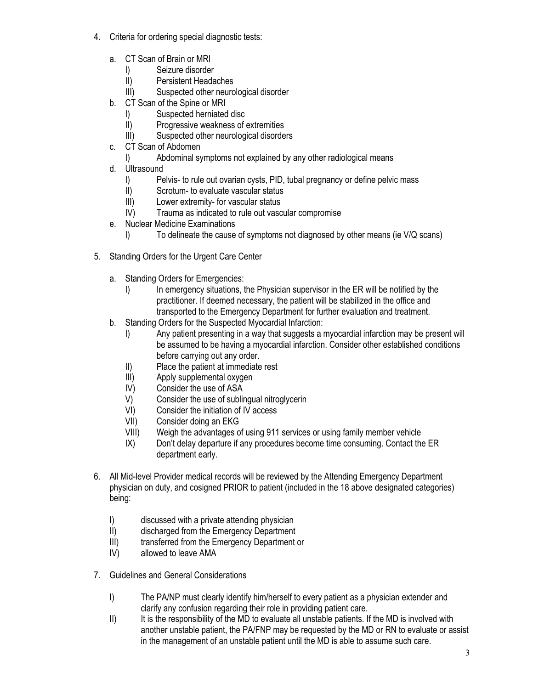- 4. Criteria for ordering special diagnostic tests:
	- a. CT Scan of Brain or MRI
		- I) Seizure disorder
		- II) Persistent Headaches
		- III) Suspected other neurological disorder
	- b. CT Scan of the Spine or MRI
		- I) Suspected herniated disc<br>II) Progressive weakness of
		- Progressive weakness of extremities
		- III) Suspected other neurological disorders
	- c. CT Scan of Abdomen
		- I) Abdominal symptoms not explained by any other radiological means
	- d. Ultrasound
		- I) Pelvis- to rule out ovarian cysts, PID, tubal pregnancy or define pelvic mass
		- II) Scrotum- to evaluate vascular status<br>III) Lower extremity- for vascular status
		- Lower extremity- for vascular status
		- IV) Trauma as indicated to rule out vascular compromise
	- e. Nuclear Medicine Examinations
		- I) To delineate the cause of symptoms not diagnosed by other means (ie V/Q scans)
- 5. Standing Orders for the Urgent Care Center
	- a. Standing Orders for Emergencies:
		- I) In emergency situations, the Physician supervisor in the ER will be notified by the practitioner. If deemed necessary, the patient will be stabilized in the office and transported to the Emergency Department for further evaluation and treatment.
	- b. Standing Orders for the Suspected Myocardial Infarction:
		- I) Any patient presenting in a way that suggests a myocardial infarction may be present will be assumed to be having a myocardial infarction. Consider other established conditions before carrying out any order.
		- II) Place the patient at immediate rest
		- III) Apply supplemental oxygen
		- IV) Consider the use of ASA
		- V) Consider the use of sublingual nitroglycerin
		- VI) Consider the initiation of IV access<br>VII) Consider doing an EKG
		- Consider doing an EKG
		- VIII) Weigh the advantages of using 911 services or using family member vehicle
		- IX) Don't delay departure if any procedures become time consuming. Contact the ER department early.
- 6. All Mid-level Provider medical records will be reviewed by the Attending Emergency Department physician on duty, and cosigned PRIOR to patient (included in the 18 above designated categories) being:
	- I) discussed with a private attending physician
	- II) discharged from the Emergency Department
	- III) transferred from the Emergency Department or
	- IV) allowed to leave AMA
- 7. Guidelines and General Considerations
	- I) The PA/NP must clearly identify him/herself to every patient as a physician extender and clarify any confusion regarding their role in providing patient care.
	- II) It is the responsibility of the MD to evaluate all unstable patients. If the MD is involved with another unstable patient, the PA/FNP may be requested by the MD or RN to evaluate or assist in the management of an unstable patient until the MD is able to assume such care.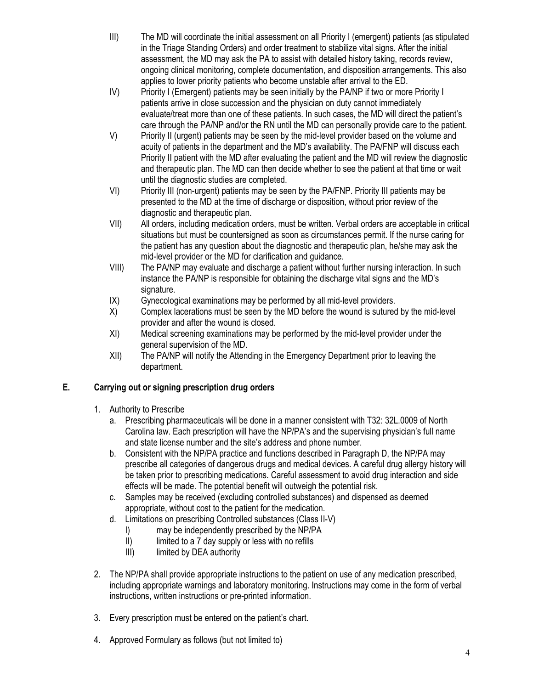- III) The MD will coordinate the initial assessment on all Priority I (emergent) patients (as stipulated in the Triage Standing Orders) and order treatment to stabilize vital signs. After the initial assessment, the MD may ask the PA to assist with detailed history taking, records review, ongoing clinical monitoring, complete documentation, and disposition arrangements. This also applies to lower priority patients who become unstable after arrival to the ED.
- IV) Priority I (Emergent) patients may be seen initially by the PA/NP if two or more Priority I patients arrive in close succession and the physician on duty cannot immediately evaluate/treat more than one of these patients. In such cases, the MD will direct the patient's care through the PA/NP and/or the RN until the MD can personally provide care to the patient.
- V) Priority II (urgent) patients may be seen by the mid-level provider based on the volume and acuity of patients in the department and the MD's availability. The PA/FNP will discuss each Priority II patient with the MD after evaluating the patient and the MD will review the diagnostic and therapeutic plan. The MD can then decide whether to see the patient at that time or wait until the diagnostic studies are completed.
- VI) Priority III (non-urgent) patients may be seen by the PA/FNP. Priority III patients may be presented to the MD at the time of discharge or disposition, without prior review of the diagnostic and therapeutic plan.
- VII) All orders, including medication orders, must be written. Verbal orders are acceptable in critical situations but must be countersigned as soon as circumstances permit. If the nurse caring for the patient has any question about the diagnostic and therapeutic plan, he/she may ask the mid-level provider or the MD for clarification and guidance.
- VIII) The PA/NP may evaluate and discharge a patient without further nursing interaction. In such instance the PA/NP is responsible for obtaining the discharge vital signs and the MD's signature.
- IX) Gynecological examinations may be performed by all mid-level providers.
- X) Complex lacerations must be seen by the MD before the wound is sutured by the mid-level provider and after the wound is closed.
- XI) Medical screening examinations may be performed by the mid-level provider under the general supervision of the MD.
- XII) The PA/NP will notify the Attending in the Emergency Department prior to leaving the department.

# **E. Carrying out or signing prescription drug orders**

- 1. Authority to Prescribe
	- a. Prescribing pharmaceuticals will be done in a manner consistent with T32: 32L.0009 of North Carolina law. Each prescription will have the NP/PA's and the supervising physician's full name and state license number and the site's address and phone number.
	- b. Consistent with the NP/PA practice and functions described in Paragraph D, the NP/PA may prescribe all categories of dangerous drugs and medical devices. A careful drug allergy history will be taken prior to prescribing medications. Careful assessment to avoid drug interaction and side effects will be made. The potential benefit will outweigh the potential risk.
	- c. Samples may be received (excluding controlled substances) and dispensed as deemed appropriate, without cost to the patient for the medication.
	- d. Limitations on prescribing Controlled substances (Class II-V)
		- I) may be independently prescribed by the NP/PA<br>II) limited to a 7 day supply or less with no refills
		- limited to a 7 day supply or less with no refills
		- III) limited by DEA authority
- 2. The NP/PA shall provide appropriate instructions to the patient on use of any medication prescribed, including appropriate warnings and laboratory monitoring. Instructions may come in the form of verbal instructions, written instructions or pre-printed information.
- 3. Every prescription must be entered on the patient's chart.
- 4. Approved Formulary as follows (but not limited to)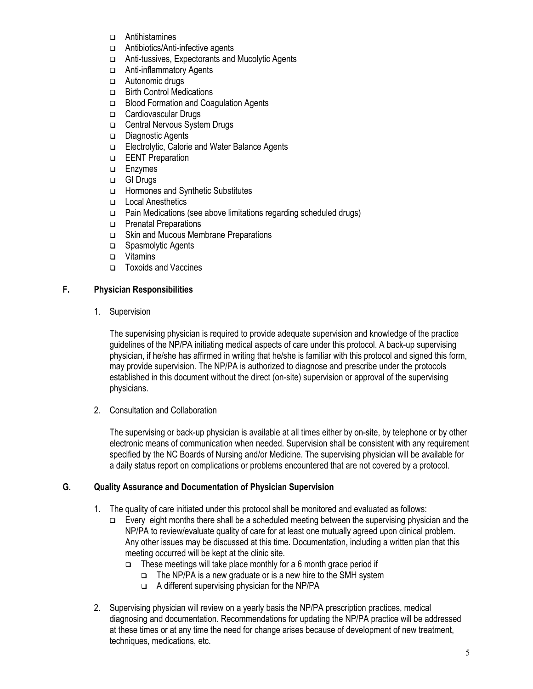- Antihistamines
- □ Antibiotics/Anti-infective agents
- □ Anti-tussives, Expectorants and Mucolytic Agents
- □ Anti-inflammatory Agents
- □ Autonomic drugs
- **Birth Control Medications**
- □ Blood Formation and Coagulation Agents
- □ Cardiovascular Drugs
- □ Central Nervous System Drugs
- Diagnostic Agents
- □ Electrolytic, Calorie and Water Balance Agents
- **EENT** Preparation
- **Enzymes**
- GI Drugs
- □ Hormones and Synthetic Substitutes
- □ Local Anesthetics
- $\Box$  Pain Medications (see above limitations regarding scheduled drugs)
- **D** Prenatal Preparations
- □ Skin and Mucous Membrane Preparations
- Spasmolytic Agents
- □ Vitamins
- □ Toxoids and Vaccines

### **F. Physician Responsibilities**

1. Supervision

The supervising physician is required to provide adequate supervision and knowledge of the practice guidelines of the NP/PA initiating medical aspects of care under this protocol. A back-up supervising physician, if he/she has affirmed in writing that he/she is familiar with this protocol and signed this form, may provide supervision. The NP/PA is authorized to diagnose and prescribe under the protocols established in this document without the direct (on-site) supervision or approval of the supervising physicians.

2. Consultation and Collaboration

The supervising or back-up physician is available at all times either by on-site, by telephone or by other electronic means of communication when needed. Supervision shall be consistent with any requirement specified by the NC Boards of Nursing and/or Medicine. The supervising physician will be available for a daily status report on complications or problems encountered that are not covered by a protocol.

## **G. Quality Assurance and Documentation of Physician Supervision**

- 1. The quality of care initiated under this protocol shall be monitored and evaluated as follows:
	- Every eight months there shall be a scheduled meeting between the supervising physician and the NP/PA to review/evaluate quality of care for at least one mutually agreed upon clinical problem. Any other issues may be discussed at this time. Documentation, including a written plan that this meeting occurred will be kept at the clinic site.
		- $\Box$  These meetings will take place monthly for a 6 month grace period if
			- $\Box$  The NP/PA is a new graduate or is a new hire to the SMH system
			- $\Box$  A different supervising physician for the NP/PA
- 2. Supervising physician will review on a yearly basis the NP/PA prescription practices, medical diagnosing and documentation. Recommendations for updating the NP/PA practice will be addressed at these times or at any time the need for change arises because of development of new treatment, techniques, medications, etc.